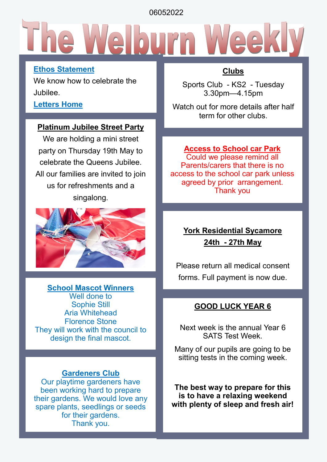06052022

#### **Ethos Statement**

We know how to celebrate the Jubilee.

#### **Letters Home**

#### **Platinum Jubilee Street Party**

We are holding a mini street party on Thursday 19th May to celebrate the Queens Jubilee. All our families are invited to join us for refreshments and a singalong.



**School Mascot Winners** Well done to Sophie Still Aria Whitehead Florence Stone They will work with the council to design the final mascot.

#### **Gardeners Club**

Our playtime gardeners have been working hard to prepare their gardens. We would love any spare plants, seedlings or seeds for their gardens. Thank you.

#### **Clubs**

Sports Club - KS2 - Tuesday 3.30pm—4.15pm

Watch out for more details after half term for other clubs.

#### **Access to School car Park**

Could we please remind all Parents/carers that there is no access to the school car park unless agreed by prior arrangement. Thank you

### **York Residential Sycamore 24th - 27th May**

Please return all medical consent forms. Full payment is now due.

#### **GOOD LUCK YEAR 6**

Next week is the annual Year 6 SATS Test Week.

Many of our pupils are going to be sitting tests in the coming week.

**The best way to prepare for this is to have a relaxing weekend with plenty of sleep and fresh air!**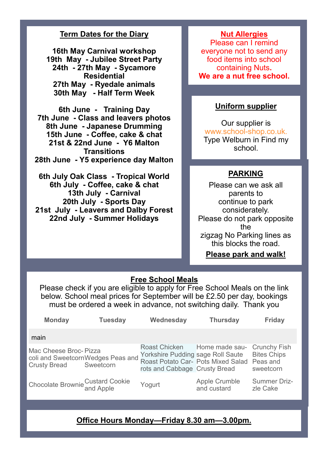#### **Term Dates for the Diary**

**16th May Carnival workshop 19th May - Jubilee Street Party 24th - 27th May - Sycamore Residential 27th May - Ryedale animals 30th May - Half Term Week**

**6th June - Training Day 7th June - Class and leavers photos 8th June - Japanese Drumming 15th June - Coffee, cake & chat 21st & 22nd June - Y6 Malton Transitions 28th June - Y5 experience day Malton**

**6th July Oak Class - Tropical World 6th July - Coffee, cake & chat 13th July - Carnival 20th July - Sports Day 21st July - Leavers and Dalby Forest 22nd July - Summer Holidays**

#### **Nut Allergies**

Please can I remind everyone not to send any food items into school containing Nuts**. We are a nut free school.**

#### **Uniform supplier**

Our supplier is www.school-shop.co.uk. Type Welburn in Find my school.

#### **PARKING**

Please can we ask all parents to continue to park considerately. Please do not park opposite the zigzag No Parking lines as this blocks the road.

#### **Please park and walk!**

#### **Free School Meals**

Please check if you are eligible to apply for Free School Meals on the link below. School meal prices for September will be £2.50 per day, bookings must be ordered a week in advance, not switching daily. Thank you

| <b>Monday</b>                                 | <b>Tuesday</b>                                                                   | Wednesday                                                                                   | <b>Thursday</b>                     | <b>Friday</b>                                                      |
|-----------------------------------------------|----------------------------------------------------------------------------------|---------------------------------------------------------------------------------------------|-------------------------------------|--------------------------------------------------------------------|
| main                                          |                                                                                  |                                                                                             |                                     |                                                                    |
| Mac Cheese Broc- Pizza<br><b>Crusty Bread</b> | coli and SweetcornWedges Peas and Yorkshire Pudding sage Roll Saute<br>Sweetcorn | <b>Roast Chicken</b><br>Roast Potato Car- Pots Mixed Salad<br>rots and Cabbage Crusty Bread | Home made sau-                      | <b>Crunchy Fish</b><br><b>Bites Chips</b><br>Peas and<br>sweetcorn |
| Chocolate Brownie Custard Cookie<br>and Apple |                                                                                  | Yogurt                                                                                      | <b>Apple Crumble</b><br>and custard | <b>Summer Driz-</b><br>zle Cake                                    |

#### **Office Hours Monday—Friday 8.30 am—3.00pm.**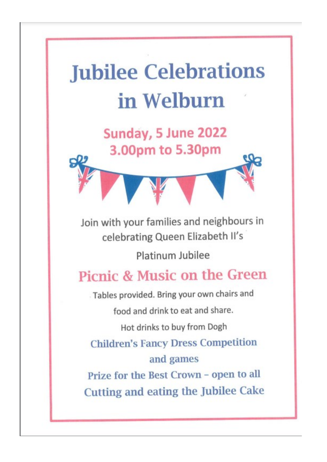# **Jubilee Celebrations** in Welburn

Sunday, 5 June 2022

3.00pm to 5.30pm

Join with your families and neighbours in celebrating Queen Elizabeth II's

Platinum Jubilee

### Picnic & Music on the Green

Tables provided. Bring your own chairs and

food and drink to eat and share.

Hot drinks to buy from Dogh

**Children's Fancy Dress Competition** and games

Prize for the Best Crown - open to all **Cutting and eating the Jubilee Cake**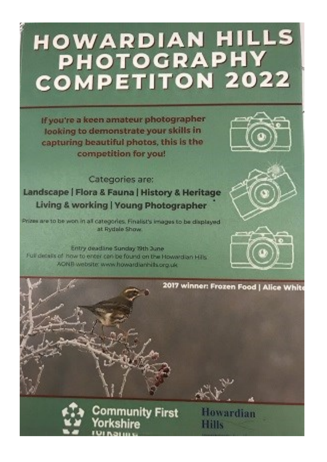# **HOWARDIAN HILLS** PHOTOGRAPHY **COMPETITON 2022**

If you're a keen amateur photographer looking to demonstrate your skills in capturing beautiful photos, this is the competition for you!



Categories are: Landscape | Flora & Fauna | History & Heritage **Living & working | Young Photographer** 

Prizes are to be won in all categories. Finalist's images to be displayed at Rydale Show

Entry deadline Sunday 19th June Full details of how to enter can be found on the Howardian Hills. AONE website: www.howardianhills.org.uk